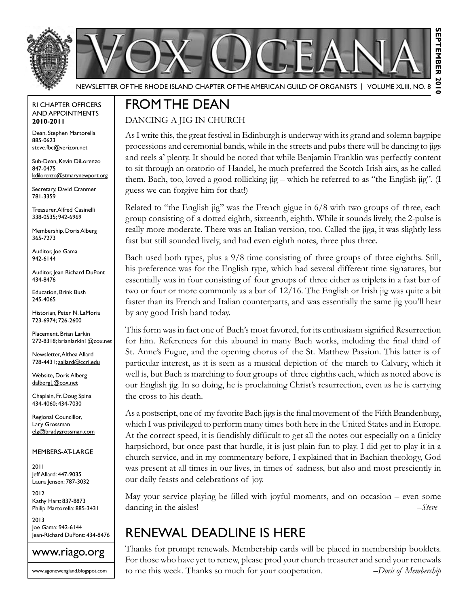



Newsletter of the Rhode Island Chapter of the American Guild of OrganistS | Volume XLIII, No. 8

#### RI Chapter Officers and Appointments **2010-2011**

Dean, Stephen Martorella 885-0623 steve.fbc@verizon.net

Sub-Dean, Kevin DiLorenzo 847-0475 kdilorenzo@stmarynewport.org

Secretary, David Cranmer 781-3359

Treasurer, Alfred Casinelli 338-0535; 942-6969

Membership, Doris Alberg 365-7273

Auditor, Joe Gama 942-6144

Auditor, Jean Richard DuPont 434-8476

Education, Brink Bush 245-4065

Historian, Peter N. LaMoria 723-6974; 726-2600

Placement, Brian Larkin 272-8318; brianlarkin1@cox.net

Newsletter, Althea Allard 728-4431; aallard@ccri.edu

Website, Doris Alberg dalberg1@cox.net

Chaplain, Fr. Doug Spina 434-4060; 434-7030

Regional Councillor, Lary Grossman elg@bradygrossman.com

Members-at-Large

2011 Jeff Allard: 447-9035 Laura Jensen: 787-3032

2012 Kathy Hart: 837-8873 Philip Martorella: 885-3431

2013 Joe Gama: 942-6144 Jean-Richard DuPont: 434-8476



www.agonewengland.blogspot.com

### From the Dean

#### Dancing a Jig in Church

As I write this, the great festival in Edinburgh is underway with its grand and solemn bagpipe processions and ceremonial bands, while in the streets and pubs there will be dancing to jigs and reels a' plenty. It should be noted that while Benjamin Franklin was perfectly content to sit through an oratorio of Handel, he much preferred the Scotch-Irish airs, as he called them. Bach, too, loved a good rollicking jig – which he referred to as "the English jig". (I guess we can forgive him for that!)

Related to "the English jig" was the French gigue in  $6/8$  with two groups of three, each group consisting of a dotted eighth, sixteenth, eighth. While it sounds lively, the 2-pulse is really more moderate. There was an Italian version, too. Called the jiga, it was slightly less fast but still sounded lively, and had even eighth notes, three plus three.

Bach used both types, plus a 9/8 time consisting of three groups of three eighths. Still, his preference was for the English type, which had several different time signatures, but essentially was in four consisting of four groups of three either as triplets in a fast bar of two or four or more commonly as a bar of 12/16. The English or Irish jig was quite a bit faster than its French and Italian counterparts, and was essentially the same jig you'll hear by any good Irish band today.

This form was in fact one of Bach's most favored, for its enthusiasm signified Resurrection for him. References for this abound in many Bach works, including the final third of St. Anne's Fugue, and the opening chorus of the St. Matthew Passion. This latter is of particular interest, as it is seen as a musical depiction of the march to Calvary, which it well is, but Bach is marching to four groups of three eighths each, which as noted above is our English jig. In so doing, he is proclaiming Christ's resurrection, even as he is carrying the cross to his death.

As a postscript, one of my favorite Bach jigs is the final movement of the Fifth Brandenburg, which I was privileged to perform many times both here in the United States and in Europe. At the correct speed, it is fiendishly difficult to get all the notes out especially on a finicky harpsichord, but once past that hurdle, it is just plain fun to play. I did get to play it in a church service, and in my commentary before, I explained that in Bachian theology, God was present at all times in our lives, in times of sadness, but also and most presciently in our daily feasts and celebrations of joy.

May your service playing be filled with joyful moments, and on occasion – even some dancing in the aisles! *–Steve*

### RENEWAL DEADLINE IS HERE

Thanks for prompt renewals. Membership cards will be placed in membership booklets. For those who have yet to renew, please prod your church treasurer and send your renewals to me this week. Thanks so much for your cooperation. *–Doris of Membership*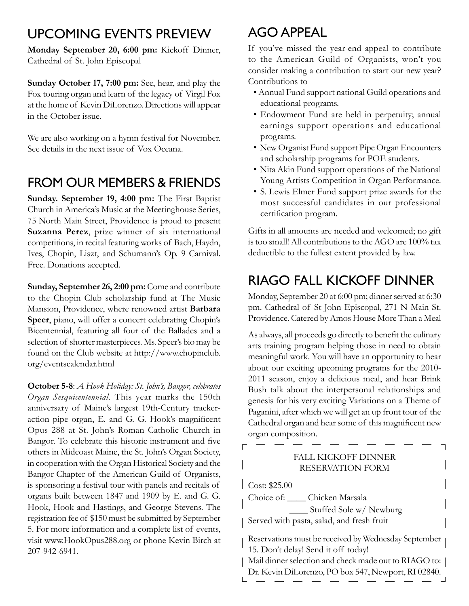### UPCOMING EVENTS PREVIEW

**Monday September 20, 6:00 pm:** Kickoff Dinner, Cathedral of St. John Episcopal

**Sunday October 17, 7:00 pm:** See, hear, and play the Fox touring organ and learn of the legacy of Virgil Fox at the home of Kevin DiLorenzo. Directions will appear in the October issue.

We are also working on a hymn festival for November. See details in the next issue of Vox Oceana.

## FROM OUR MEMBERS & FRIENDS

**Sunday. September 19, 4:00 pm:** The First Baptist Church in America's Music at the Meetinghouse Series, 75 North Main Street, Providence is proud to present **Suzanna Perez**, prize winner of six international competitions, in recital featuring works of Bach, Haydn, Ives, Chopin, Liszt, and Schumann's Op. 9 Carnival. Free. Donations accepted.

**Sunday, September 26, 2:00 pm:** Come and contribute to the Chopin Club scholarship fund at The Music Mansion, Providence, where renowned artist **Barbara Speer**, piano, will offer a concert celebrating Chopin's Bicentennial, featuring all four of the Ballades and a selection of shorter masterpieces. Ms. Speer's bio may be found on the Club website at http://www.chopinclub. org/eventscalendar.html

**October 5-8**: *A Hook Holiday: St. John's, Bangor, celebrates Organ Sesquicentennial*. This year marks the 150th anniversary of Maine's largest 19th-Century trackeraction pipe organ, E. and G. G. Hook's magnificent Opus 288 at St. John's Roman Catholic Church in Bangor. To celebrate this historic instrument and five others in Midcoast Maine, the St. John's Organ Society, in cooperation with the Organ Historical Society and the Bangor Chapter of the American Guild of Organists, is sponsoring a festival tour with panels and recitals of organs built between 1847 and 1909 by E. and G. G. Hook, Hook and Hastings, and George Stevens. The registration fee of \$150 must be submitted by September 5. For more information and a complete list of events, visit www.HookOpus288.org or phone Kevin Birch at 207-942-6941.

## AGO Appeal

If you've missed the year-end appeal to contribute to the American Guild of Organists, won't you consider making a contribution to start our new year? Contributions to

- Annual Fund support national Guild operations and educational programs.
- Endowment Fund are held in perpetuity; annual earnings support operations and educational programs.
- New Organist Fund support Pipe Organ Encounters and scholarship programs for POE students.
- Nita Akin Fund support operations of the National Young Artists Competition in Organ Performance.
- S. Lewis Elmer Fund support prize awards for the most successful candidates in our professional certification program.

Gifts in all amounts are needed and welcomed; no gift is too small! All contributions to the AGO are 100% tax deductible to the fullest extent provided by law.

# RIAGO FALL KICKOFF DINNER

Monday, September 20 at 6:00 pm; dinner served at 6:30 pm. Cathedral of St John Episcopal, 271 N Main St. Providence. Catered by Amos House More Than a Meal

As always, all proceeds go directly to benefit the culinary arts training program helping those in need to obtain meaningful work. You will have an opportunity to hear about our exciting upcoming programs for the 2010- 2011 season, enjoy a delicious meal, and hear Brink Bush talk about the interpersonal relationships and genesis for his very exciting Variations on a Theme of Paganini, after which we will get an up front tour of the Cathedral organ and hear some of this magnificent new organ composition.

 $\Gamma$ 

#### Fall Kickoff Dinner Reservation Form Cost: \$25.00 Choice of: \_\_\_\_ Chicken Marsala \_\_\_\_ Stuffed Sole w/ Newburg Served with pasta, salad, and fresh fruit Reservations must be received by Wednesday September 15. Don't delay! Send it off today! Mail dinner selection and check made out to RIAGO to:

Dr. Kevin DiLorenzo, PO box 547, Newport, RI 02840.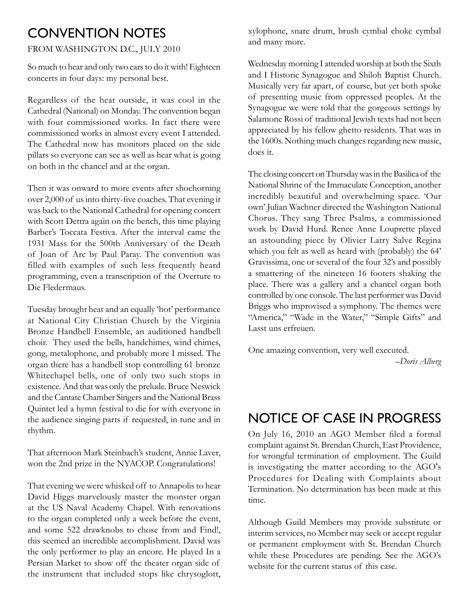#### Convention Notes

#### FROM WASHINGTON D.C., JULY 2010

So much to hear and only two ears to do it with! Eighteen concerts in four days: my personal best.

Regardless of the heat outside, it was cool in the Cathedral (National) on Monday. The convention began with four commissioned works. In fact there were commissioned works in almost every event I attended. The Cathedral now has monitors placed on the side pillars so everyone can see as well as hear what is going on both in the chancel and at the organ.

Then it was onward to more events after shoehorning over 2,000 of us into thirty-five coaches. That evening it was back to the National Cathedral for opening concert with Scott Dettra again on the bench, this time playing Barber's Toccata Festiva. After the interval came the 1931 Mass for the 500th Anniversary of the Death of Joan of Arc by Paul Paray. The convention was filled with examples of such less frequently heard programming, even a transcription of the Overture to Die Fledermaus.

Tuesday brought heat and an equally 'hot' performance at National City Christian Church by the Virginia Bronze Handbell Ensemble, an auditioned handbell choir. They used the bells, handchimes, wind chimes, gong, metalophone, and probably more I missed. The organ there has a handbell stop controlling 61 bronze Whitechapel bells, one of only two such stops in existence. And that was only the prelude. Bruce Neswick and the Cantate Chamber Singers and the National Brass Quintet led a hymn festival to die for with everyone in the audience singing parts if requested, in tune and in rhythm.

That afternoon Mark Steinbach's student, Annie Laver, won the 2nd prize in the NYACOP. Congratulations!

That evening we were whisked off to Annapolis to hear David Higgs marvelously master the monster organ at the US Naval Academy Chapel. With renovations to the organ completed only a week before the event, and some 522 drawknobs to chose from and Find!, this seemed an incredible accomplishment. David was the only performer to play an encore. He played In a Persian Market to show off the theater organ side of the instrument that included stops like chrysoglott, xylophone, snare drum, brush cymbal choke cymbal and many more.

Wednesday morning I attended worship at both the Sixth and I Historic Synagogue and Shiloh Baptist Church. Musically very far apart, of course, but yet both spoke of presenting music from oppressed peoples. At the Synagogue we were told that the gorgeous settings by Salamone Rossi of traditional Jewish texts had not been appreciated by his fellow ghetto residents. That was in the 1600s. Nothing much changes regarding new music, does it.

The closing concert on Thursday was in the Basilica of the National Shrine of the Immaculate Conception, another incredibly beautiful and overwhelming space. 'Our own' Julian Wachner directed the Washington National Chorus. They sang Three Psalms, a commissioned work by David Hurd. Renee Anne Louprette played an astounding piece by Olivier Latry Salve Regina which you felt as well as heard with (probably) the 64' Gravissima, one or several of the four 32's and possibly a smattering of the nineteen 16 footers shaking the place. There was a gallery and a chancel organ both controlled by one console. The last performer was David Briggs who improvised a symphony. The themes were "America," "Wade in the Water," "Simple Gifts" and Lasst uns erfreuen.

One amazing convention, very well executed. *–Doris Alberg*

### Notice of Case in Progress

On July 16, 2010 an AGO Member filed a formal complaint against St. Brendan Church, East Providence, for wrongful termination of employment. The Guild is investigating the matter according to the AGO's Procedures for Dealing with Complaints about Termination. No determination has been made at this time.

Although Guild Members may provide substitute or interim services, no Member may seek or accept regular or permanent employment with St. Brendan Church while these Procedures are pending. See the AGO's website for the current status of this case.